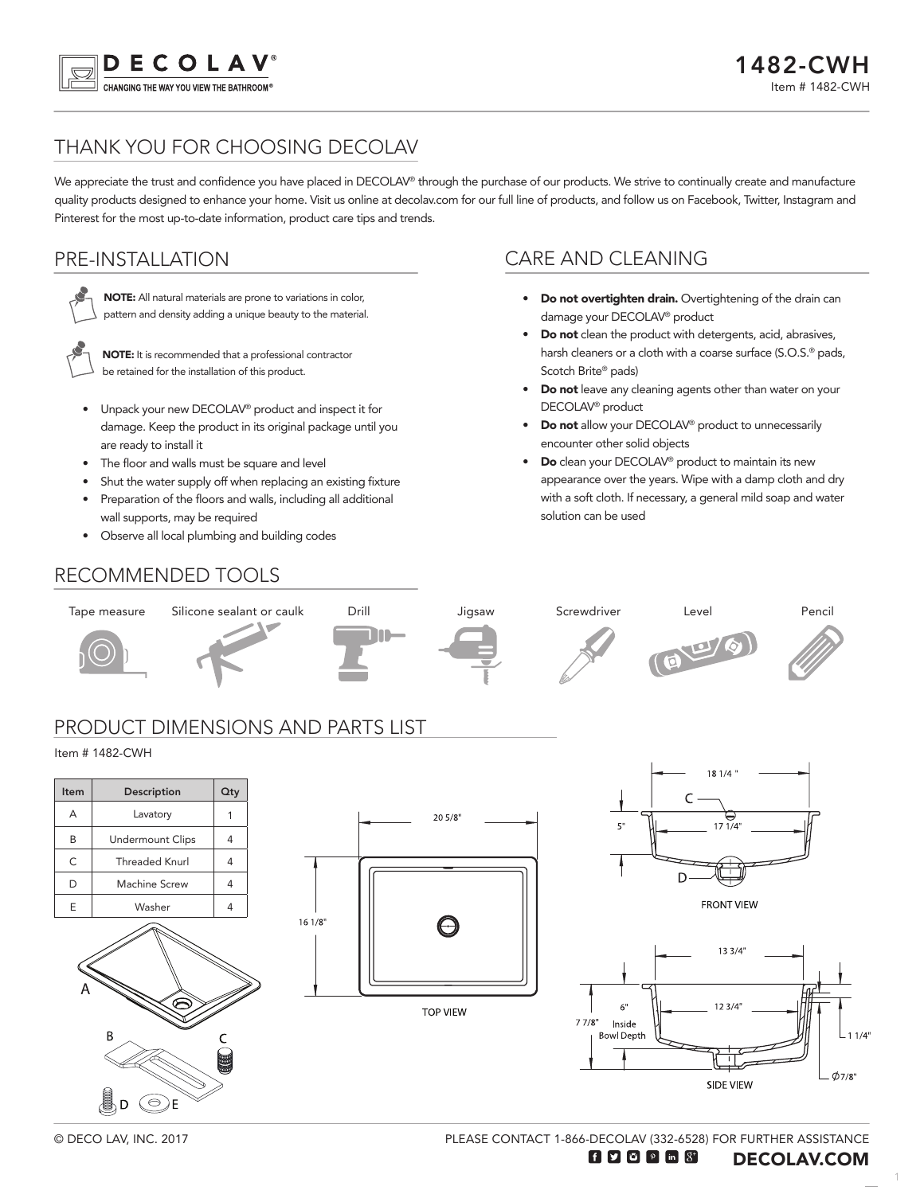

# THANK YOU FOR CHOOSING DECOLAV

We appreciate the trust and confidence you have placed in DECOLAV® through the purchase of our products. We strive to continually create and manufacture quality products designed to enhance your home. Visit us online at decolav.com for our full line of products, and follow us on Facebook, Twitter, Instagram and Pinterest for the most up-to-date information, product care tips and trends.

## PRE-INSTALLATION



NOTE: All natural materials are prone to variations in color, pattern and density adding a unique beauty to the material.



NOTE: It is recommended that a professional contractor be retained for the installation of this product.

- Unpack your new DECOLAV® product and inspect it for damage. Keep the product in its original package until you are ready to install it
- The floor and walls must be square and level
- Shut the water supply off when replacing an existing fixture

 $161/8$ 

- Preparation of the floors and walls, including all additional wall supports, may be required
- Observe all local plumbing and building codes

## CARE AND CLEANING

- Do not overtighten drain. Overtightening of the drain can damage your DECOLAV® product
- Do not clean the product with detergents, acid, abrasives, harsh cleaners or a cloth with a coarse surface (S.O.S.<sup>®</sup> pads, Scotch Brite® pads)
- Do not leave any cleaning agents other than water on your DECOLAV® product
- Do not allow your DECOLAV® product to unnecessarily encounter other solid objects
- **Do** clean your DECOLAV<sup>®</sup> product to maintain its new appearance over the years. Wipe with a damp cloth and dry with a soft cloth. If necessary, a general mild soap and water solution can be used

# RECOMMENDED TOOLS



**TOP VIEW** 

**FRONT VIEW** 



© DECO LAV, INC. 2017

 $\odot$ )E

E | Washer | 4

PLEASE CONTACT 1-866-DECOLAV (332-6528) FOR FURTHER ASSISTANCE

1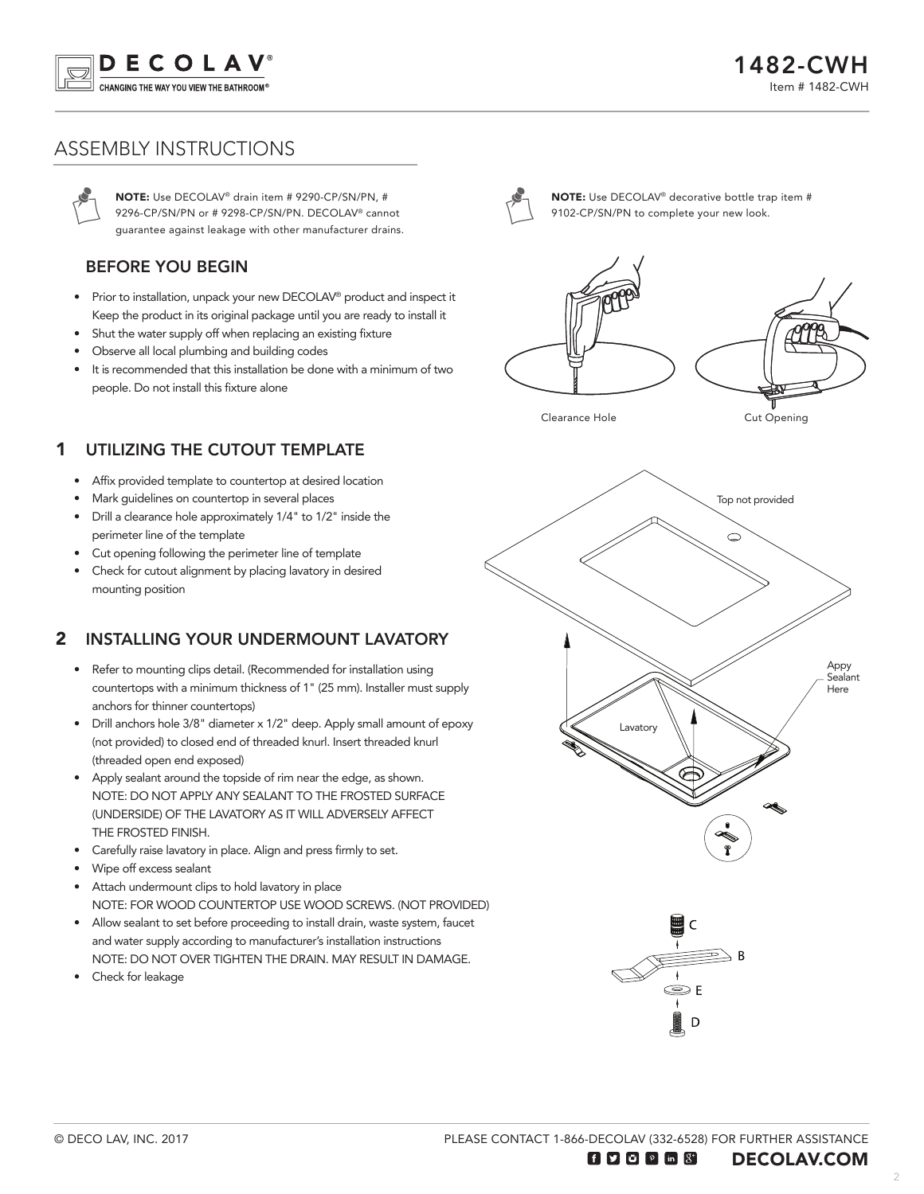

### ASSEMBLY INSTRUCTIONS

NOTE: Use DECOLAV® drain item # 9290-CP/SN/PN, # 9296-CP/SN/PN or # 9298-CP/SN/PN. DECOLAV® cannot guarantee against leakage with other manufacturer drains.

#### BEFORE YOU BEGIN

- Prior to installation, unpack your new DECOLAV® product and inspect it Keep the product in its original package until you are ready to install it
- Shut the water supply off when replacing an existing fixture
- Observe all local plumbing and building codes
- It is recommended that this installation be done with a minimum of two people. Do not install this fixture alone

#### 1 UTILIZING THE CUTOUT TEMPLATE

- Affix provided template to countertop at desired location
- Mark guidelines on countertop in several places
- Drill a clearance hole approximately 1/4" to 1/2" inside the perimeter line of the template
- Cut opening following the perimeter line of template
- Check for cutout alignment by placing lavatory in desired mounting position

#### $\overline{\mathbf{z}}$ INSTALLING YOUR UNDERMOUNT LAVATORY

- Refer to mounting clips detail. (Recommended for installation using countertops with a minimum thickness of 1" (25 mm). Installer must supply anchors for thinner countertops)
- Drill anchors hole 3/8" diameter x 1/2" deep. Apply small amount of epoxy (not provided) to closed end of threaded knurl. Insert threaded knurl (threaded open end exposed)
- Apply sealant around the topside of rim near the edge, as shown. NOTE: DO NOT APPLY ANY SEALANT TO THE FROSTED SURFACE (UNDERSIDE) OF THE LAVATORY AS IT WILL ADVERSELY AFFECT THE FROSTED FINISH.
- Carefully raise lavatory in place. Align and press firmly to set.
- Wipe off excess sealant
- Attach undermount clips to hold lavatory in place NOTE: FOR WOOD COUNTERTOP USE WOOD SCREWS. (NOT PROVIDED)
- Allow sealant to set before proceeding to install drain, waste system, faucet and water supply according to manufacturer's installation instructions NOTE: DO NOT OVER TIGHTEN THE DRAIN. MAY RESULT IN DAMAGE.
- Check for leakage



NOTE: Use DECOLAV® decorative bottle trap item # 9102-CP/SN/PN to complete your new look.



Clearance Hole Cut Opening



PLEASE CONTACT 1-866-DECOLAV (332-6528) FOR FURTHER ASSISTANCE

O E